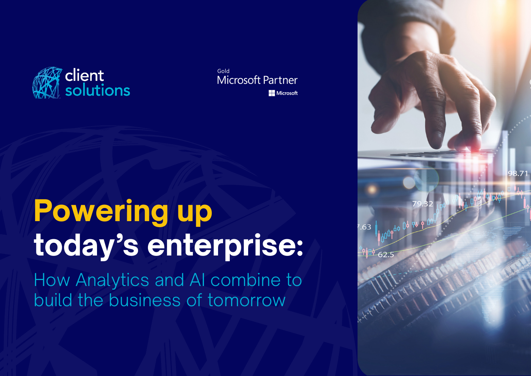

Gold **Microsoft Partner Microsoft** 

# **Powering up today's enterprise:**

How Analytics and AI combine to build the business of tomorrow

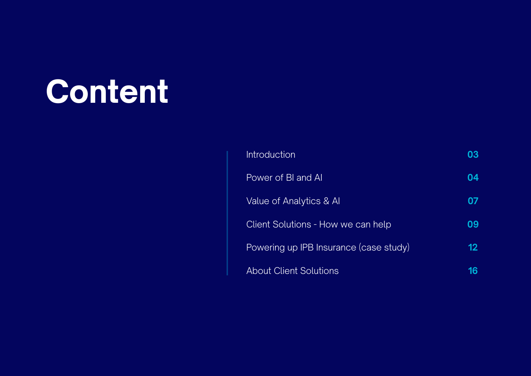# **Content**

| <b>Introduction</b>                    | 03 |
|----------------------------------------|----|
| Power of BI and AI                     | 04 |
| Value of Analytics & Al                | 07 |
| Client Solutions - How we can help     | 09 |
| Powering up IPB Insurance (case study) | 12 |
| <b>About Client Solutions</b>          | 16 |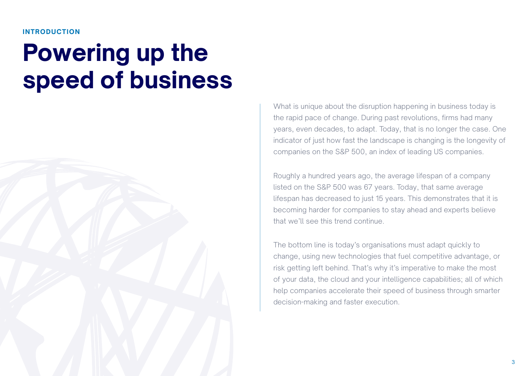#### **INTRODUCTION**

# **Powering up the speed of business**



What is unique about the disruption happening in business today is the rapid pace of change. During past revolutions, firms had many years, even decades, to adapt. Today, that is no longer the case. One indicator of just how fast the landscape is changing is the longevity of companies on the S&P 500, an index of leading US companies.

Roughly a hundred years ago, the average lifespan of a company listed on the S&P 500 was 67 years. Today, that same average lifespan has decreased to just 15 years. This demonstrates that it is becoming harder for companies to stay ahead and experts believe that we'll see this trend continue.

The bottom line is today's organisations must adapt quickly to change, using new technologies that fuel competitive advantage, or risk getting left behind. That's why it's imperative to make the most of your data, the cloud and your intelligence capabilities; all of which help companies accelerate their speed of business through smarter decision-making and faster execution.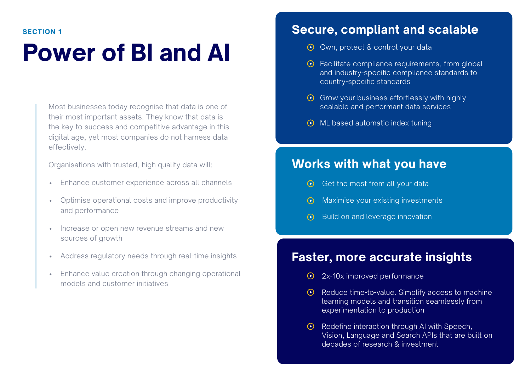## **Power of BI and AI**

Most businesses today recognise that data is one of their most important assets. They know that data is the key to success and competitive advantage in this digital age, yet most companies do not harness data effectively.

Organisations with trusted, high quality data will:

- Enhance customer experience across all channels
- Optimise operational costs and improve productivity and performance
- Increase or open new revenue streams and new sources of growth
- Address regulatory needs through real-time insights
- Enhance value creation through changing operational models and customer initiatives

## **Secure, compliant and scalable**

- **◯** Own, protect & control your data
- $\odot$  Facilitate compliance requirements, from global and industry-specific compliance standards to country-specific standards
- $\odot$  Grow your business effortlessly with highly scalable and performant data services
- **⊙** ML-based automatic index tuning

## **Works with what you have**

- $\odot$  Get the most from all your data
- Maximise your existing investments
- Build on and leverage innovation

## **Faster, more accurate insights**

- 2x-10x improved performance
- $\odot$  Reduce time-to-value. Simplify access to machine learning models and transition seamlessly from experimentation to production
- $\odot$  Redefine interaction through AI with Speech, Vision, Language and Search APIs that are built on decades of research & investment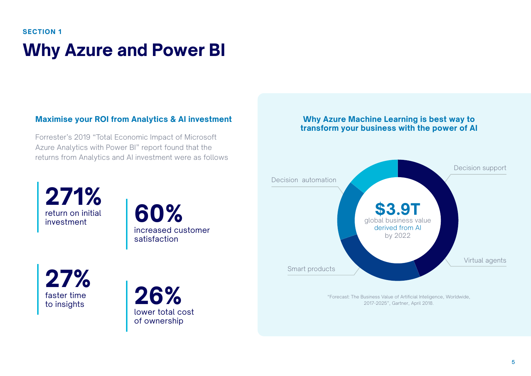## **Why Azure and Power BI SECTION 1**

## **Maximise your ROI from Analytics & AI investment**

Forrester's 2019 "Total Economic Impact of Microsoft Azure Analytics with Power BI" report found that the returns from Analytics and AI investment were as follows

### **Why Azure Machine Learning is best way to transform your business with the power of AI**



"Forecast: The Business Value of Artificial Inteligence, Worldwide, 2017-2025", Gartner, April 2018.

**271%** return on initial return on initial **60%** 

increased customer satisfaction

**27%** faster time

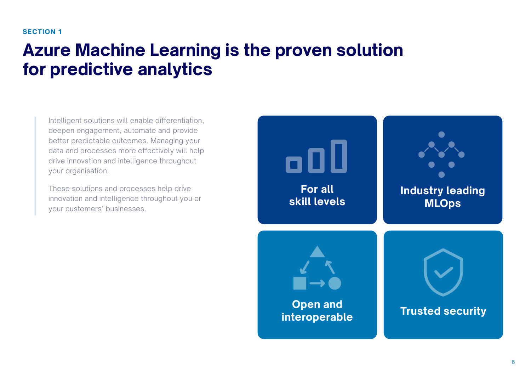## **Azure Machine Learning is the proven solution for predictive analytics**

Intelligent solutions will enable differentiation, deepen engagement, automate and provide better predictable outcomes. Managing your data and processes more effectively will help drive innovation and intelligence throughout your organisation.

These solutions and processes help drive innovation and intelligence throughout you or your customers' businesses.

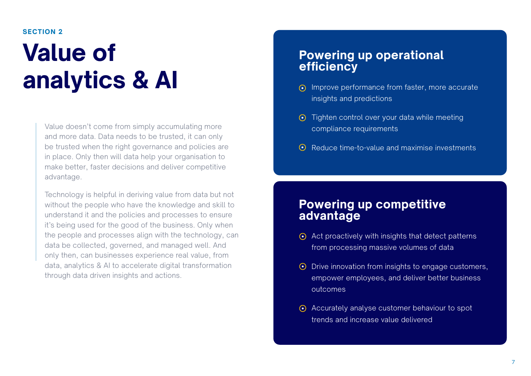# **Value of analytics & AI**

Value doesn't come from simply accumulating more and more data. Data needs to be trusted, it can only be trusted when the right governance and policies are in place. Only then will data help your organisation to make better, faster decisions and deliver competitive advantage.

Technology is helpful in deriving value from data but not without the people who have the knowledge and skill to understand it and the policies and processes to ensure it's being used for the good of the business. Only when the people and processes align with the technology, can data be collected, governed, and managed well. And only then, can businesses experience real value, from data, analytics & AI to accelerate digital transformation through data driven insights and actions.

## **Powering up operational efficiency**

- Improve performance from faster, more accurate insights and predictions
- $\odot$  Tighten control over your data while meeting compliance requirements
- **⊙** Reduce time-to-value and maximise investments

## **Powering up competitive advantage**

- $\odot$  Act proactively with insights that detect patterns from processing massive volumes of data
- $\odot$  Drive innovation from insights to engage customers, empower employees, and deliver better business outcomes
- Accurately analyse customer behaviour to spot trends and increase value delivered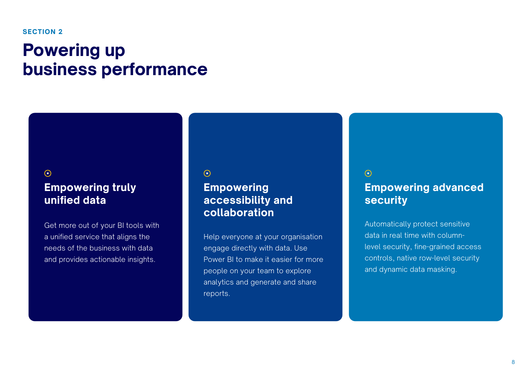## **Powering up business performance**

### $\odot$

## **Empowering truly unified data**

Get more out of your BI tools with a unified service that aligns the needs of the business with data and provides actionable insights.

#### $\odot$

## **Empowering accessibility and collaboration**

Help everyone at your organisation engage directly with data. Use Power BI to make it easier for more people on your team to explore analytics and generate and share reports.

## $\odot$ **Empowering advanced security**

Automatically protect sensitive data in real time with columnlevel security, fine-grained access controls, native row-level security and dynamic data masking.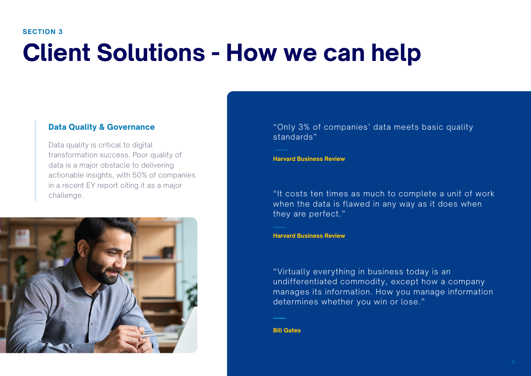## **Client Solutions - How we can help**

### **Data Quality & Governance**

Data quality is critical to digital transformation success. Poor quality of data is a major obstacle to delivering actionable insights, with 50% of companies in a recent EY report citing it as a major challenge.



"Only 3% of companies' data meets basic quality standards"

**Harvard Business Review**

"It costs ten times as much to complete a unit of work when the data is flawed in any way as it does when they are perfect."

**Harvard Business Review**

"Virtually everything in business today is an undifferentiated commodity, except how a company manages its information. How you manage information determines whether you win or lose."

**Bill Gates**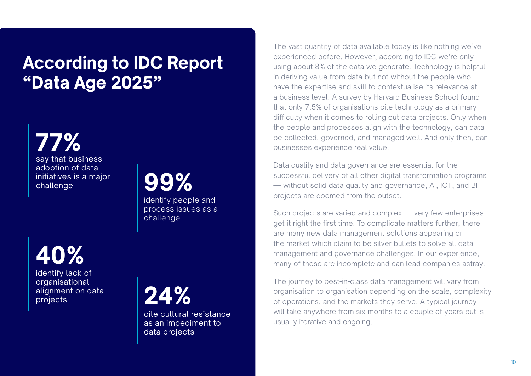## **According to IDC Report "Data Age 2025"**

**77%** say that business adoption of data initiatives is a major challenge

**99%**

identify people and process issues as a challenge

**40%**

identify lack of organisational alignment on data alignment on data **24%** 



cite cultural resistance as an impediment to data projects

The vast quantity of data available today is like nothing we've experienced before. However, according to IDC we're only using about 8% of the data we generate. Technology is helpful in deriving value from data but not without the people who have the expertise and skill to contextualise its relevance at a business level. A survey by Harvard Business School found that only 7.5% of organisations cite technology as a primary difficulty when it comes to rolling out data projects. Only when the people and processes align with the technology, can data be collected, governed, and managed well. And only then, can businesses experience real value.

Data quality and data governance are essential for the successful delivery of all other digital transformation programs — without solid data quality and governance, AI, IOT, and BI projects are doomed from the outset.

Such projects are varied and complex — very few enterprises get it right the first time. To complicate matters further, there are many new data management solutions appearing on the market which claim to be silver bullets to solve all data management and governance challenges. In our experience, many of these are incomplete and can lead companies astray.

The journey to best-in-class data management will vary from organisation to organisation depending on the scale, complexity of operations, and the markets they serve. A typical journey will take anywhere from six months to a couple of years but is usually iterative and ongoing.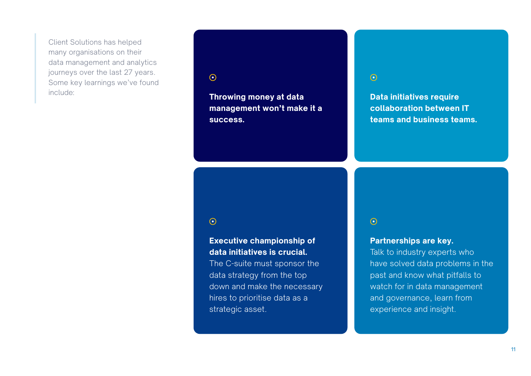Client Solutions has helped many organisations on their data management and analytics journeys over the last 27 years. Some key learnings we've found include:

### $\odot$

**Throwing money at data management won't make it a success.**

### $\odot$

**Data initiatives require collaboration between IT teams and business teams.**

## $\odot$

## **Executive championship of data initiatives is crucial.**

The C-suite must sponsor the data strategy from the top down and make the necessary hires to prioritise data as a strategic asset.

### $\odot$

### **Partnerships are key.**

Talk to industry experts who have solved data problems in the past and know what pitfalls to watch for in data management and governance, learn from experience and insight.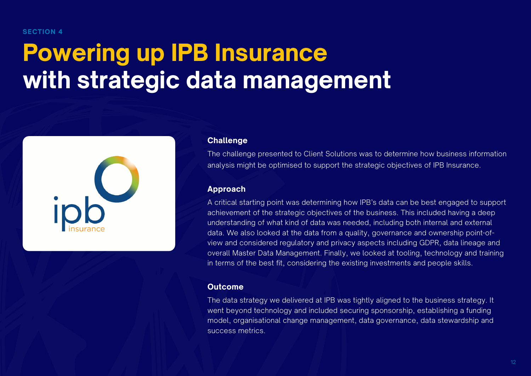# **Powering up IPB Insurance with strategic data management**



#### **Challenge**

The challenge presented to Client Solutions was to determine how business information analysis might be optimised to support the strategic objectives of IPB Insurance.

#### **Approach**

A critical starting point was determining how IPB's data can be best engaged to support achievement of the strategic objectives of the business. This included having a deep understanding of what kind of data was needed, including both internal and external data. We also looked at the data from a quality, governance and ownership point-ofview and considered regulatory and privacy aspects including GDPR, data lineage and overall Master Data Management. Finally, we looked at tooling, technology and training in terms of the best fit, considering the existing investments and people skills.

### **Outcome**

The data strategy we delivered at IPB was tightly aligned to the business strategy. It went beyond technology and included securing sponsorship, establishing a funding model, organisational change management, data governance, data stewardship and success metrics.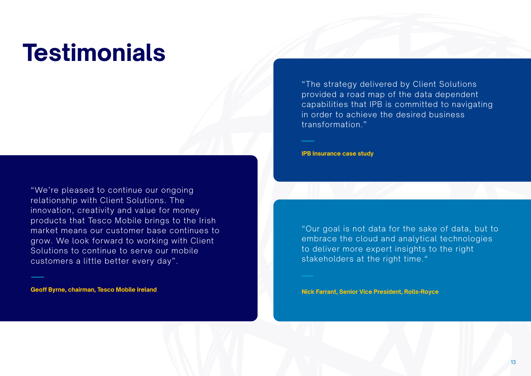## **Testimonials**

"We're pleased to continue our ongoing relationship with Client Solutions. The innovation, creativity and value for money products that Tesco Mobile brings to the Irish market means our customer base continues to grow. We look forward to working with Client Solutions to continue to serve our mobile customers a little better every day".

**Geoff Byrne, chairman, Tesco Mobile Ireland**

"The strategy delivered by Client Solutions provided a road map of the data dependent capabilities that IPB is committed to navigating in order to achieve the desired business transformation."

**IPB Insurance case study**

"Our goal is not data for the sake of data, but to embrace the cloud and analytical technologies to deliver more expert insights to the right stakeholders at the right time."

**Nick Farrant, Senior Vice President, Rolls-Royce**